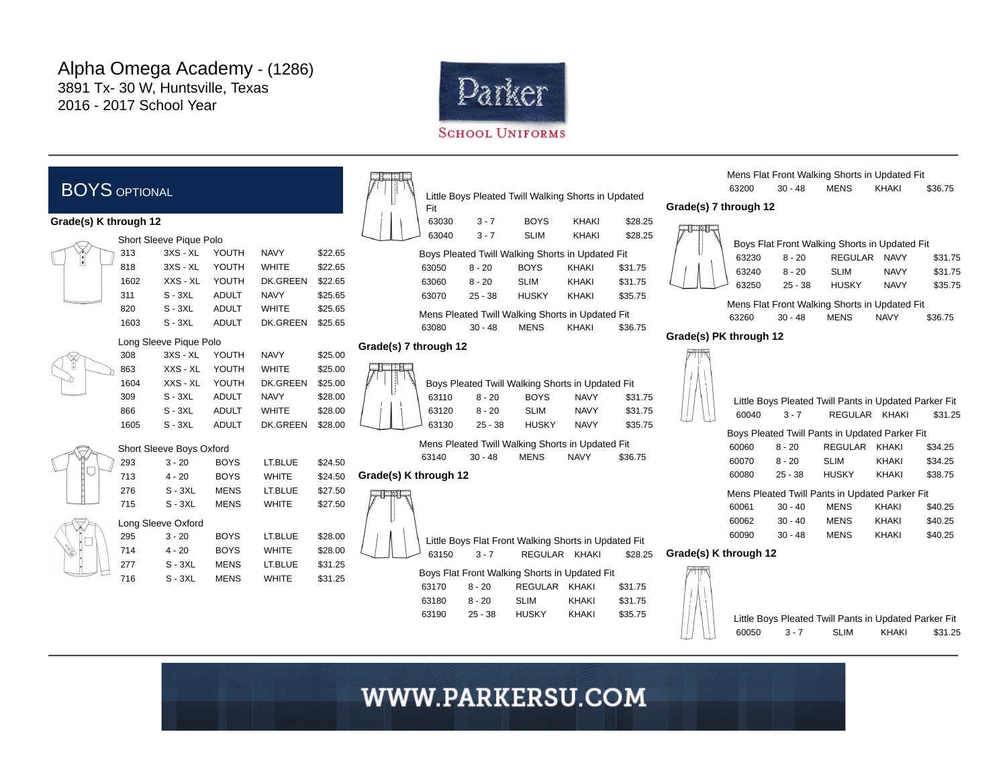

### BOYS OPTIONAL Grade(s) K through 12 Short Sleeve Pique Polo 313 3XS - XL YOUTH NAVY \$22.65 818 3XS - XL YOUTH WHITE \$22.65 1602 XXS - XL YOUTH DK.GREEN \$22.65 311 S - 3XL ADULT NAVY \$25.65 820 S - 3XL ADULT WHITE \$25.65 1603 S - 3XL ADULT DK.GREEN \$25.65 Long Sleeve Pique Polo 308 3XS - XL YOUTH NAVY \$25.00 863 XXS - XL YOUTH WHITE \$25.00 1604 XXS - XL YOUTH DK.GREEN \$25.00 309 S - 3XL ADULT NAVY \$28.00 866 S - 3XL ADULT WHITE \$28.00 1605 S - 3XL ADULT DK.GREEN \$28.00 Short Sleeve Boys Oxford 293 3 - 20 BOYS LT.BLUE \$24.50 713 4 - 20 BOYS WHITE \$24.50 276 S - 3XL MENS LT.BLUE \$27.50 715 S - 3XL MENS WHITE \$27.50 Long Sleeve Oxford 295 3 - 20 BOYS LT.BLUE \$28.00 714 4 - 20 BOYS WHITE \$28.00 277 S - 3XL MENS LT.BLUE \$31.25 716 S - 3XL MENS WHITE \$31.25

| ij.                                              | Fit   |           | Little Boys Pleated Twill Walking Shorts in Updated |              |         |  |  |
|--------------------------------------------------|-------|-----------|-----------------------------------------------------|--------------|---------|--|--|
|                                                  | 63030 | $3 - 7$   | <b>BOYS</b>                                         | <b>KHAKI</b> | \$28.25 |  |  |
|                                                  | 63040 | $3 - 7$   | <b>SLIM</b>                                         | <b>KHAKI</b> | \$28.25 |  |  |
| Boys Pleated Twill Walking Shorts in Updated Fit |       |           |                                                     |              |         |  |  |
|                                                  | 63050 | $8 - 20$  | <b>BOYS</b>                                         | <b>KHAKI</b> | \$31.75 |  |  |
|                                                  | 63060 | $8 - 20$  | <b>SLIM</b>                                         | KHAKI        | \$31.75 |  |  |
|                                                  | 63070 | $25 - 38$ | <b>HUSKY</b>                                        | <b>KHAKI</b> | \$35.75 |  |  |
| Mens Pleated Twill Walking Shorts in Updated Fit |       |           |                                                     |              |         |  |  |
|                                                  | 63080 | $30 - 48$ | <b>MENS</b>                                         | <b>KHAKI</b> | \$36.75 |  |  |
|                                                  | .     |           |                                                     |              |         |  |  |

#### Grade(s) 7 through 12



| ľ |       | Boys Pleated Twill Walking Shorts in Updated Fit |              |             |         |
|---|-------|--------------------------------------------------|--------------|-------------|---------|
|   | 63110 | $8 - 20$                                         | <b>BOYS</b>  | <b>NAVY</b> | \$31.75 |
|   | 63120 | $8 - 20$                                         | <b>SLIM</b>  | <b>NAVY</b> | \$31.75 |
|   | 63130 | $25 - 38$                                        | <b>HUSKY</b> | <b>NAVY</b> | \$35.75 |

|       |         |             | Mens Pleated Twill Walking Shorts in Updated Fit |         |
|-------|---------|-------------|--------------------------------------------------|---------|
| 63140 | 30 - 48 | <b>MENS</b> | <b>NAVY</b>                                      | \$36.75 |

### Grade(s) K through 12



63150 3 - 7 REGULAR KHAKI \$28.25

Little Boys Flat Front Walking Shorts in Updated Fit

| Boys Flat Front Walking Shorts in Updated Fit |                |              |         |  |  |  |
|-----------------------------------------------|----------------|--------------|---------|--|--|--|
| $8 - 20$                                      | <b>REGULAR</b> | KHAKI        | \$31.75 |  |  |  |
| $8 - 20$                                      | <b>SLIM</b>    | <b>KHAKI</b> | \$31.75 |  |  |  |
| $25 - 38$                                     | <b>HUSKY</b>   | <b>KHAKI</b> | \$35.75 |  |  |  |
|                                               |                |              |         |  |  |  |

Mens Flat Front Walking Shorts in Updated Fit 63200 30 - 48 MENS KHAKI \$36.75

#### Grade(s) 7 through 12

|       |           | Boys Flat Front Walking Shorts in Updated Fit |             |         |
|-------|-----------|-----------------------------------------------|-------------|---------|
| 63230 | $8 - 20$  | <b>REGULAR</b>                                | <b>NAVY</b> | \$31.75 |
| 63240 | $8 - 20$  | <b>SLIM</b>                                   | <b>NAVY</b> | \$31.75 |
| 63250 | $25 - 38$ | <b>HUSKY</b>                                  | <b>NAVY</b> | \$35.75 |

Mens Flat Front Walking Shorts in Updated Fit 63260 30 - 48 MENS NAVY \$36.75

### Grade(s) PK through 12

| 60040                                          | $3 - 7$   | Little Boys Pleated Twill Pants in Updated Parker Fit<br>REGULAR | <b>KHAKI</b> | \$31.25 |  |  |  |
|------------------------------------------------|-----------|------------------------------------------------------------------|--------------|---------|--|--|--|
|                                                |           | Boys Pleated Twill Pants in Updated Parker Fit                   |              |         |  |  |  |
| 60060                                          | $8 - 20$  | <b>REGULAR</b>                                                   | <b>KHAKI</b> | \$34.25 |  |  |  |
| 60070                                          | $8 - 20$  | <b>SLIM</b>                                                      | KHAKI        | \$34.25 |  |  |  |
| 60080                                          | $25 - 38$ | <b>HUSKY</b>                                                     | KHAKI        | \$38.75 |  |  |  |
| Mens Pleated Twill Pants in Updated Parker Fit |           |                                                                  |              |         |  |  |  |
| 60061                                          | $30 - 40$ | <b>MFNS</b>                                                      | KHAKI        | \$40.25 |  |  |  |
| 60062                                          | $30 - 40$ | <b>MFNS</b>                                                      | <b>KHAKI</b> | \$40.25 |  |  |  |
| 60090                                          | $30 - 48$ | <b>MFNS</b>                                                      | KHAKI        | \$40.25 |  |  |  |
|                                                |           |                                                                  |              |         |  |  |  |

#### Grade(s) K through 12



Little Boys Pleated Twill Pants in Updated Parker Fit 60050 3 - 7 SLIM KHAKI \$31.25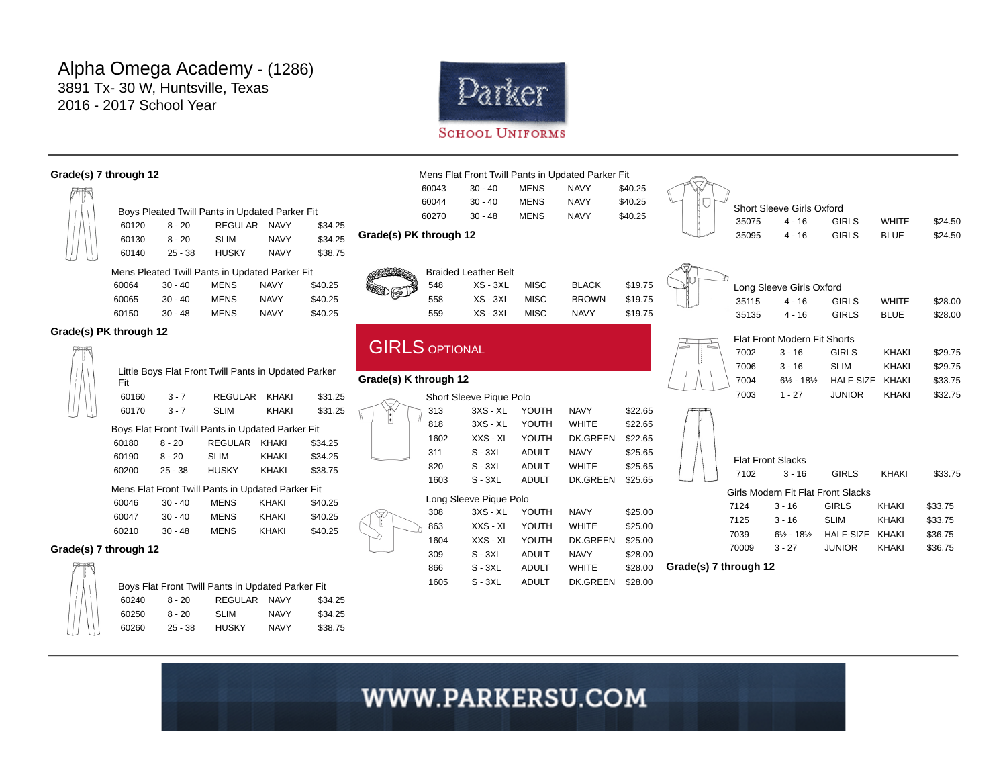60250 8 - 20 SLIM NAVY \$34.25 60260 25 - 38 HUSKY NAVY \$38.75



#### Grade(s) 7 through 12 Boys Pleated Twill Pants in Updated Parker Fit 60120 8 - 20 REGULAR NAVY \$34.25 60130 8 - 20 SLIM NAVY \$34.25 60140 25 - 38 HUSKY NAVY \$38.75 Mens Pleated Twill Pants in Updated Parker Fit 60064 30 - 40 MENS NAVY \$40.25 60065 30 - 40 MENS NAVY \$40.25 60150 30 - 48 MENS NAVY \$40.25 Grade(s) PK through 12 Little Boys Flat Front Twill Pants in Updated Parker Fit 60160 3 - 7 REGULAR KHAKI \$31.25 60170 3 - 7 SLIM KHAKI \$31.25 Boys Flat Front Twill Pants in Updated Parker Fit 60180 8 - 20 REGULAR KHAKI \$34.25 60190 8 - 20 SLIM KHAKI \$34.25 60200 25 - 38 HUSKY KHAKI \$38.75 Mens Flat Front Twill Pants in Updated Parker Fit 60046 30 - 40 MENS KHAKI \$40.25 60047 30 - 40 MENS KHAKI \$40.25 60210 30 - 48 MENS KHAKI \$40.25 Grade(s) 7 through 12 Boys Flat Front Twill Pants in Updated Parker Fit 60240 8 - 20 REGULAR NAVY \$34.25 Mens Flat Front Twill Pants in Updated Parker Fit 60043 30 - 40 MENS NAVY \$40.25 60044 30 - 40 MENS NAVY \$40.25 60270 30 - 48 MENS NAVY \$40.25 Grade(s) PK through 12 Braided Leather Belt 548 XS - 3XL MISC BLACK \$19.75 558 XS - 3XL MISC BROWN \$19.75 559 XS - 3XL MISC NAVY \$19.75 **GIRLS OPTIONAL** Grade(s) K through 12 Short Sleeve Pique Polo 313 3XS - XL YOUTH NAVY \$22.65 818 3XS - XL YOUTH WHITE \$22.65 1602 XXS - XL YOUTH DK.GREEN \$22.65 311 S - 3XL ADULT NAVY \$25.65 820 S - 3XL ADULT WHITE \$25.65 1603 S - 3XL ADULT DK.GREEN \$25.65 Long Sleeve Pique Polo 308 3XS - XL YOUTH NAVY \$25.00 863 XXS - XL YOUTH WHITE \$25.00 1604 XXS - XL YOUTH DK.GREEN \$25.00 309 S - 3XL ADULT NAVY \$28.00 866 S - 3XL ADULT WHITE \$28.00 1605 S - 3XL ADULT DK.GREEN \$28.00 Short Sleeve Girls Oxford 35075 4 - 16 GIRLS WHITE \$24.50 35095 4 - 16 GIRLS BLUE \$24.50 Long Sleeve Girls Oxford 35115 4 - 16 GIRLS WHITE \$28.00 35135 4 - 16 GIRLS BLUE \$28.00 Flat Front Modern Fit Shorts 7002 3 - 16 GIRLS KHAKI \$29.75 7006 3 - 16 SLIM KHAKI \$29.75 7004 6½ - 18½ HALF-SIZE KHAKI \$33.75 7003 1 - 27 JUNIOR KHAKI \$32.75 Flat Front Slacks 7102 3 - 16 GIRLS KHAKI \$33.75 Girls Modern Fit Flat Front Slacks 7124 3 - 16 GIRLS KHAKI \$33.75 7125 3 - 16 SLIM KHAKI \$33.75 7039 6½ - 18½ HALF-SIZE KHAKI \$36.75 70009 3 - 27 JUNIOR KHAKI \$36.75 Grade(s) 7 through 12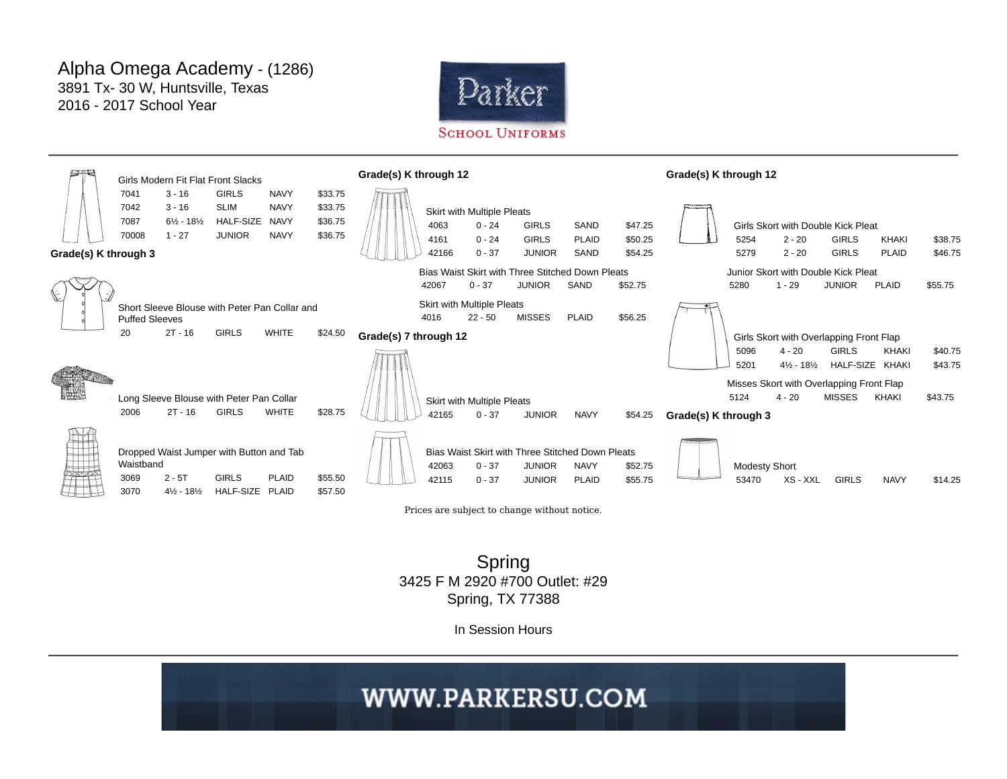



Spring 3425 F M 2920 #700 Outlet: #29 Spring, TX 77388

In Session Hours